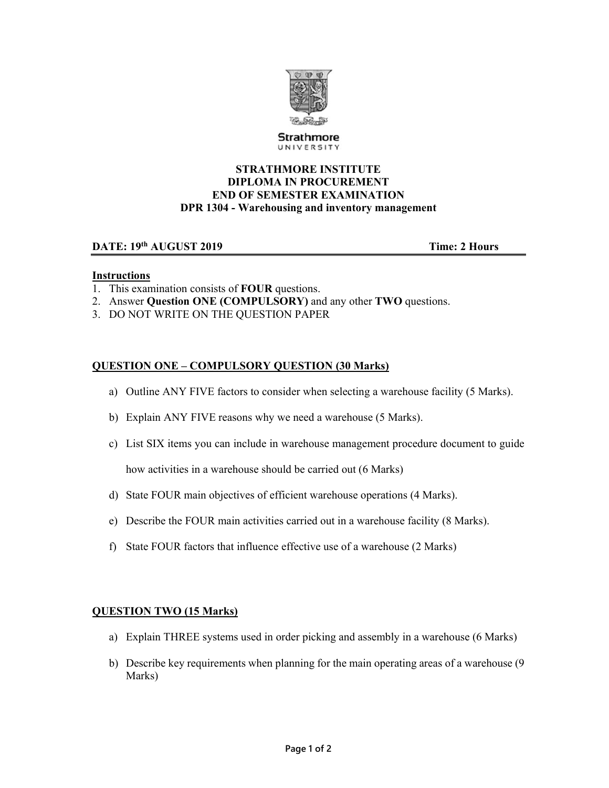

Strathmore UNIVERSITY

### **STRATHMORE INSTITUTE DIPLOMA IN PROCUREMENT END OF SEMESTER EXAMINATION DPR 1304 - Warehousing and inventory management**

# **DATE:**  $19^{th}$  **AUGUST 2019 Time:** 2 Hours

#### **Instructions**

- 1. This examination consists of **FOUR** questions.
- 2. Answer **Question ONE (COMPULSORY)** and any other **TWO** questions.
- 3. DO NOT WRITE ON THE QUESTION PAPER

# **QUESTION ONE – COMPULSORY QUESTION (30 Marks)**

- a) Outline ANY FIVE factors to consider when selecting a warehouse facility (5 Marks).
- b) Explain ANY FIVE reasons why we need a warehouse (5 Marks).
- c) List SIX items you can include in warehouse management procedure document to guide how activities in a warehouse should be carried out (6 Marks)
- d) State FOUR main objectives of efficient warehouse operations (4 Marks).
- e) Describe the FOUR main activities carried out in a warehouse facility (8 Marks).
- f) State FOUR factors that influence effective use of a warehouse (2 Marks)

#### **QUESTION TWO (15 Marks)**

- a) Explain THREE systems used in order picking and assembly in a warehouse (6 Marks)
- b) Describe key requirements when planning for the main operating areas of a warehouse (9 Marks)